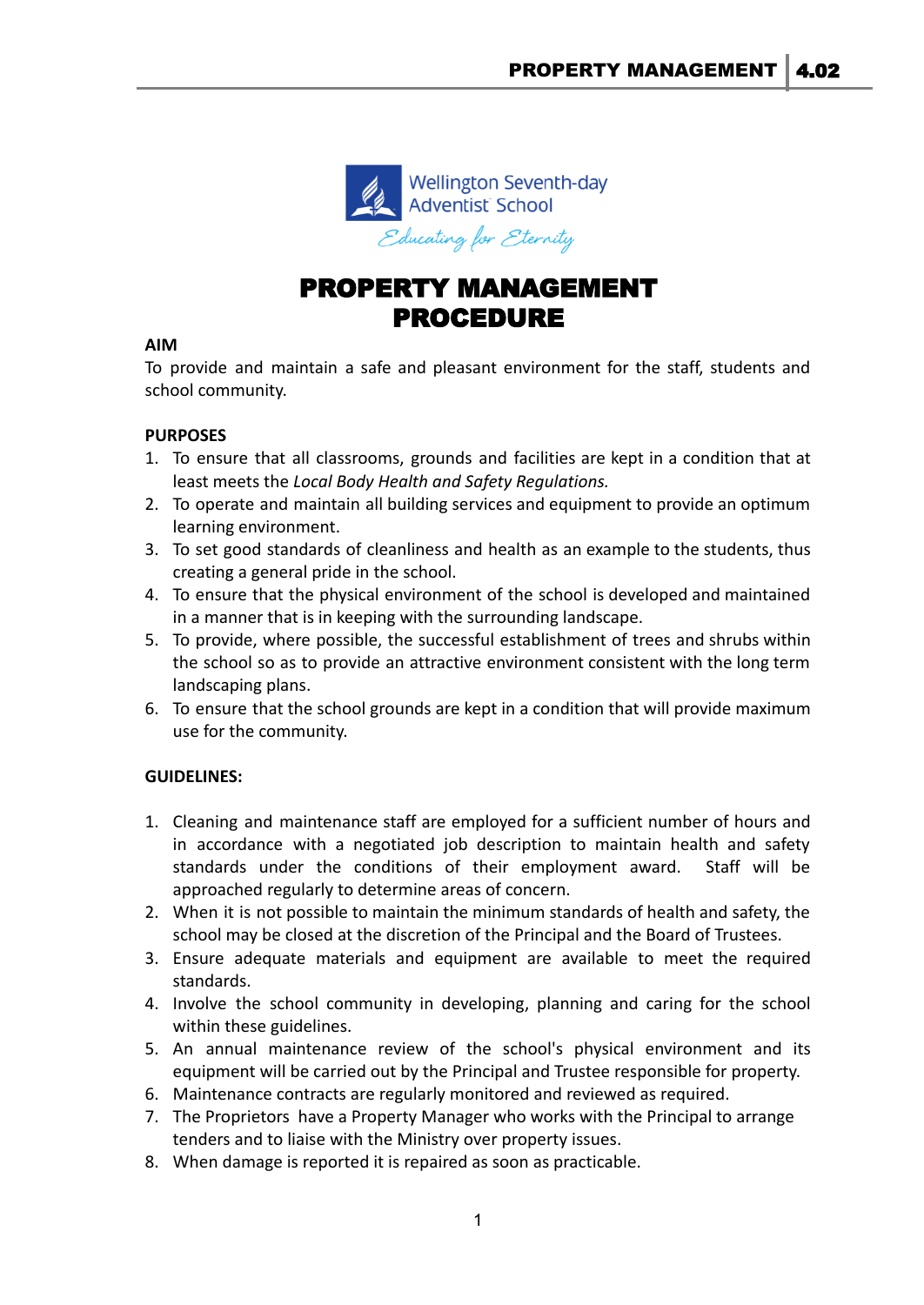

# PROPERTY MANAGEMENT PROCEDURE

## **AIM**

To provide and maintain a safe and pleasant environment for the staff, students and school community.

# **PURPOSES**

- 1. To ensure that all classrooms, grounds and facilities are kept in a condition that at least meets the *Local Body Health and Safety Regulations.*
- 2. To operate and maintain all building services and equipment to provide an optimum learning environment.
- 3. To set good standards of cleanliness and health as an example to the students, thus creating a general pride in the school.
- 4. To ensure that the physical environment of the school is developed and maintained in a manner that is in keeping with the surrounding landscape.
- 5. To provide, where possible, the successful establishment of trees and shrubs within the school so as to provide an attractive environment consistent with the long term landscaping plans.
- 6. To ensure that the school grounds are kept in a condition that will provide maximum use for the community.

# **GUIDELINES:**

- 1. Cleaning and maintenance staff are employed for a sufficient number of hours and in accordance with a negotiated job description to maintain health and safety standards under the conditions of their employment award. Staff will be approached regularly to determine areas of concern.
- 2. When it is not possible to maintain the minimum standards of health and safety, the school may be closed at the discretion of the Principal and the Board of Trustees.
- 3. Ensure adequate materials and equipment are available to meet the required standards.
- 4. Involve the school community in developing, planning and caring for the school within these guidelines.
- 5. An annual maintenance review of the school's physical environment and its equipment will be carried out by the Principal and Trustee responsible for property.
- 6. Maintenance contracts are regularly monitored and reviewed as required.
- 7. The Proprietors have a Property Manager who works with the Principal to arrange tenders and to liaise with the Ministry over property issues.
- 8. When damage is reported it is repaired as soon as practicable.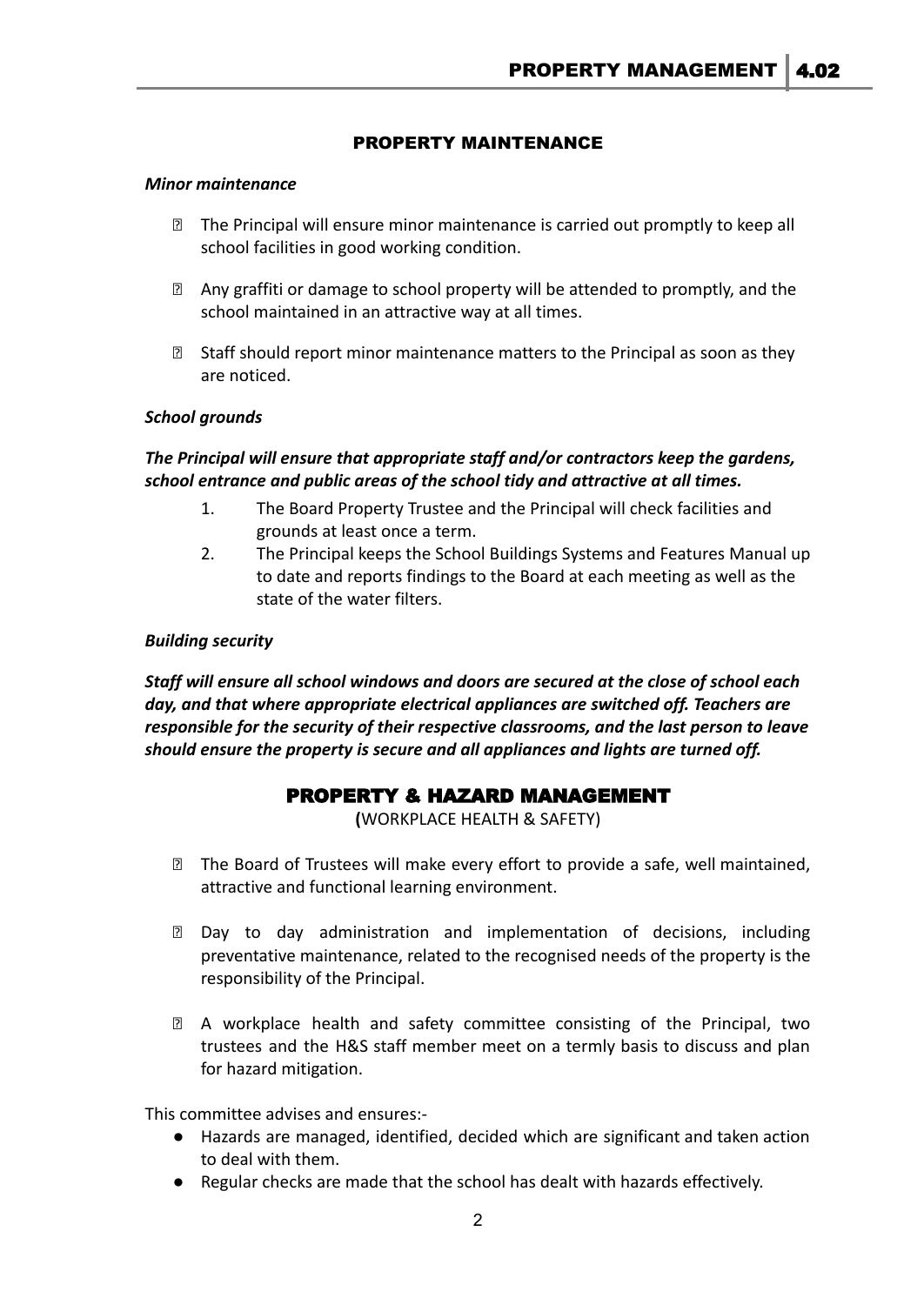## PROPERTY MAINTENANCE

#### *Minor maintenance*

- ⮚ The Principal will ensure minor maintenance is carried out promptly to keep all school facilities in good working condition.
- ⮚ Any graffiti or damage to school property will be attended to promptly, and the school maintained in an attractive way at all times.
- **sqrt8** Staff should report minor maintenance matters to the Principal as soon as they are noticed.

#### *School grounds*

## *The Principal will ensure that appropriate staff and/or contractors keep the gardens, school entrance and public areas of the school tidy and attractive at all times.*

- 1. The Board Property Trustee and the Principal will check facilities and grounds at least once a term.
- 2. The Principal keeps the School Buildings Systems and Features Manual up to date and reports findings to the Board at each meeting as well as the state of the water filters.

#### *Building security*

*Staff will ensure all school windows and doors are secured at the close of school each day, and that where appropriate electrical appliances are switched off. Teachers are responsible for the security of their respective classrooms, and the last person to leave should ensure the property is secure and all appliances and lights are turned off.*

# PROPERTY & HAZARD MANAGEMENT

**(**WORKPLACE HEALTH & SAFETY)

- **sqrt7 The Board of Trustees will make every effort to provide a safe, well maintained,** attractive and functional learning environment.
- ⮚ Day to day administration and implementation of decisions, including preventative maintenance, related to the recognised needs of the property is the responsibility of the Principal.
- ⮚ A workplace health and safety committee consisting of the Principal, two trustees and the H&S staff member meet on a termly basis to discuss and plan for hazard mitigation.

This committee advises and ensures:-

- Hazards are managed, identified, decided which are significant and taken action to deal with them.
- Regular checks are made that the school has dealt with hazards effectively.